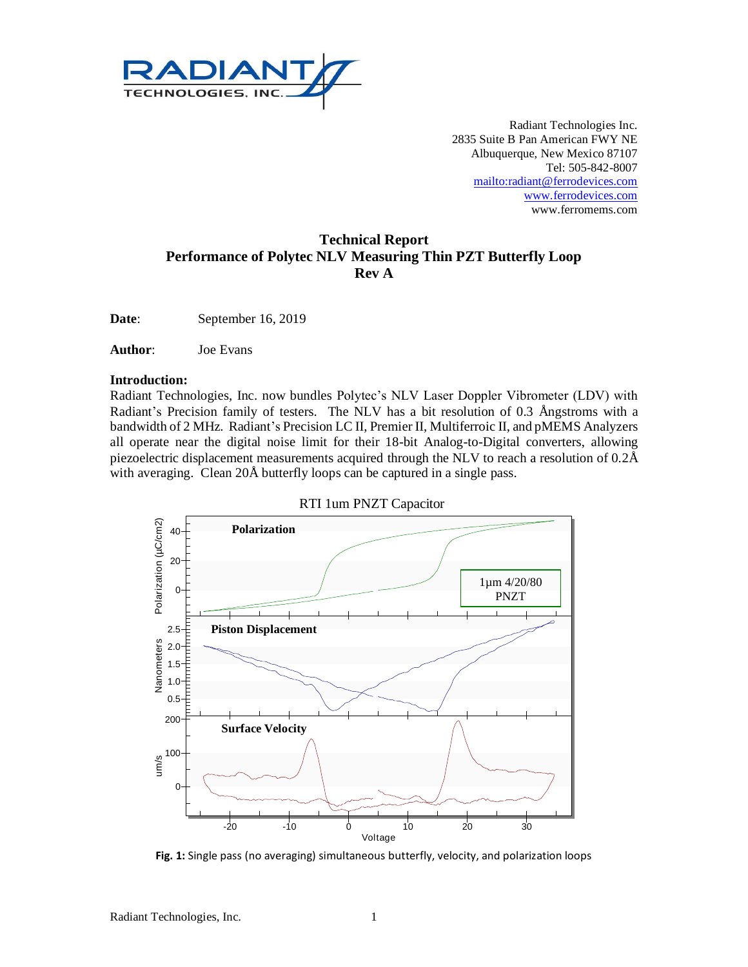

Radiant Technologies Inc. 2835 Suite B Pan American FWY NE Albuquerque, New Mexico 87107 Tel: 505-842-8007 <mailto:radiant@ferrodevices.com> [www.ferrodevices.com](http://www.ferrodevices.com/) www.ferromems.com

# **Technical Report Performance of Polytec NLV Measuring Thin PZT Butterfly Loop Rev A**

**Date**: September 16, 2019

**Author**: Joe Evans

#### **Introduction:**

Radiant Technologies, Inc. now bundles Polytec's NLV Laser Doppler Vibrometer (LDV) with Radiant's Precision family of testers. The NLV has a bit resolution of 0.3 Ångstroms with a bandwidth of 2 MHz. Radiant's Precision LC II, Premier II, Multiferroic II, and pMEMS Analyzers all operate near the digital noise limit for their 18-bit Analog-to-Digital converters, allowing piezoelectric displacement measurements acquired through the NLV to reach a resolution of  $0.2\text{\AA}$ with averaging. Clean 20Å butterfly loops can be captured in a single pass.



**Fig. 1:** Single pass (no averaging) simultaneous butterfly, velocity, and polarization loops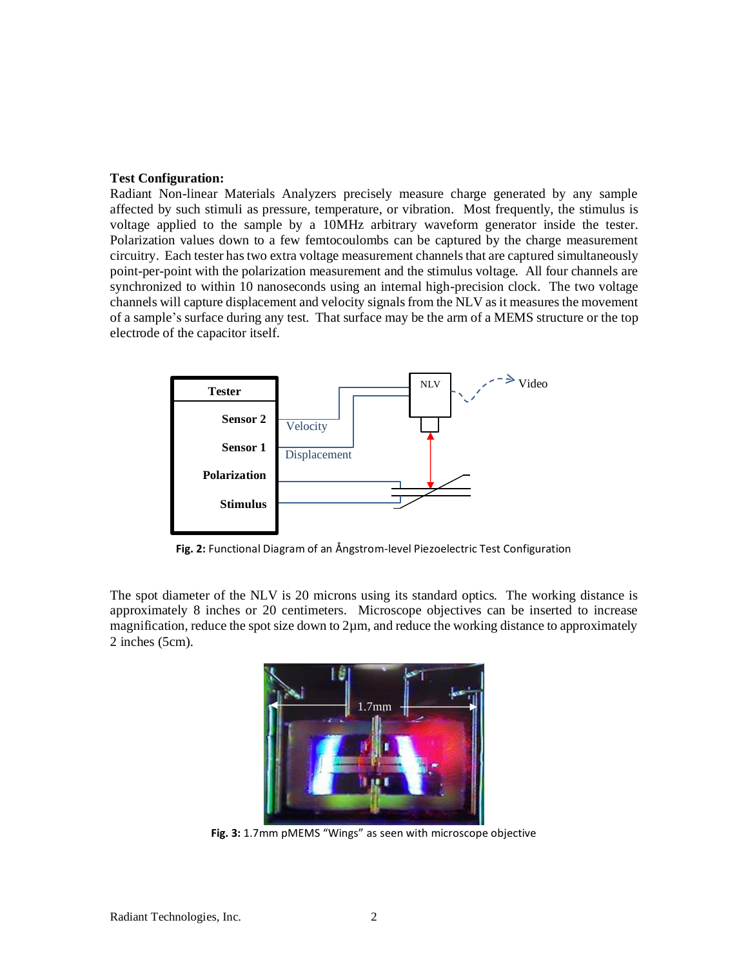#### **Test Configuration:**

Radiant Non-linear Materials Analyzers precisely measure charge generated by any sample affected by such stimuli as pressure, temperature, or vibration. Most frequently, the stimulus is voltage applied to the sample by a 10MHz arbitrary waveform generator inside the tester. Polarization values down to a few femtocoulombs can be captured by the charge measurement circuitry. Each tester has two extra voltage measurement channels that are captured simultaneously point-per-point with the polarization measurement and the stimulus voltage. All four channels are synchronized to within 10 nanoseconds using an internal high-precision clock. The two voltage channels will capture displacement and velocity signals from the NLV as it measures the movement of a sample's surface during any test. That surface may be the arm of a MEMS structure or the top electrode of the capacitor itself.



**Fig. 2:** Functional Diagram of an Ångstrom-level Piezoelectric Test Configuration

The spot diameter of the NLV is 20 microns using its standard optics. The working distance is approximately 8 inches or 20 centimeters. Microscope objectives can be inserted to increase magnification, reduce the spot size down to 2µm, and reduce the working distance to approximately 2 inches (5cm).



**Fig. 3:** 1.7mm pMEMS "Wings" as seen with microscope objective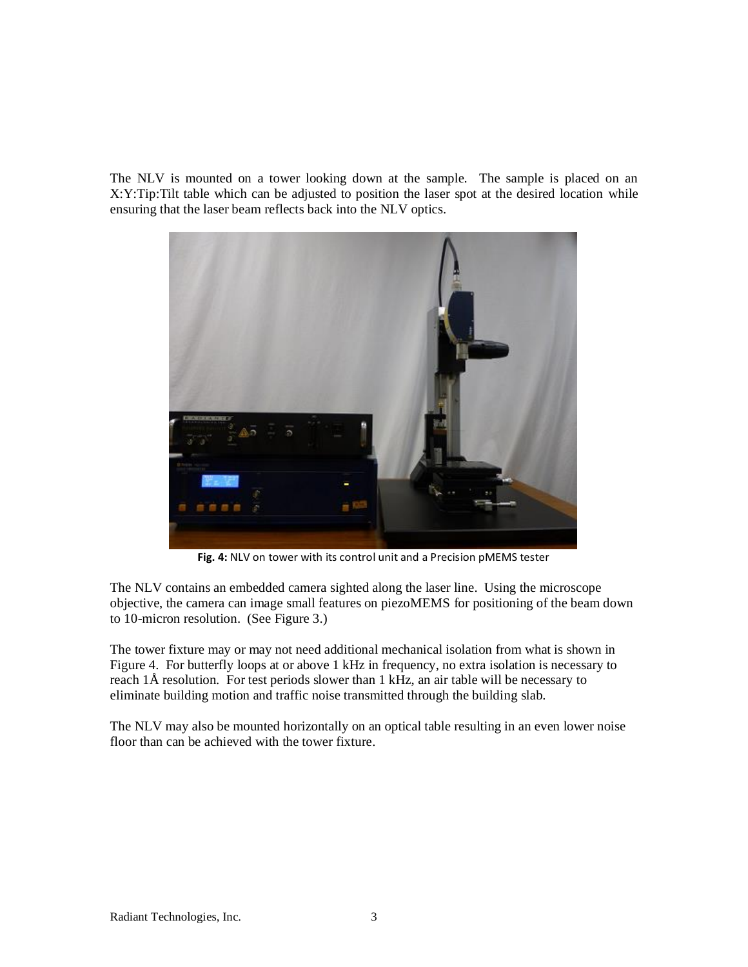The NLV is mounted on a tower looking down at the sample. The sample is placed on an X:Y:Tip:Tilt table which can be adjusted to position the laser spot at the desired location while ensuring that the laser beam reflects back into the NLV optics.



**Fig. 4:** NLV on tower with its control unit and a Precision pMEMS tester

The NLV contains an embedded camera sighted along the laser line. Using the microscope objective, the camera can image small features on piezoMEMS for positioning of the beam down to 10-micron resolution. (See Figure 3.)

The tower fixture may or may not need additional mechanical isolation from what is shown in Figure 4. For butterfly loops at or above 1 kHz in frequency, no extra isolation is necessary to reach 1Å resolution. For test periods slower than 1 kHz, an air table will be necessary to eliminate building motion and traffic noise transmitted through the building slab.

The NLV may also be mounted horizontally on an optical table resulting in an even lower noise floor than can be achieved with the tower fixture.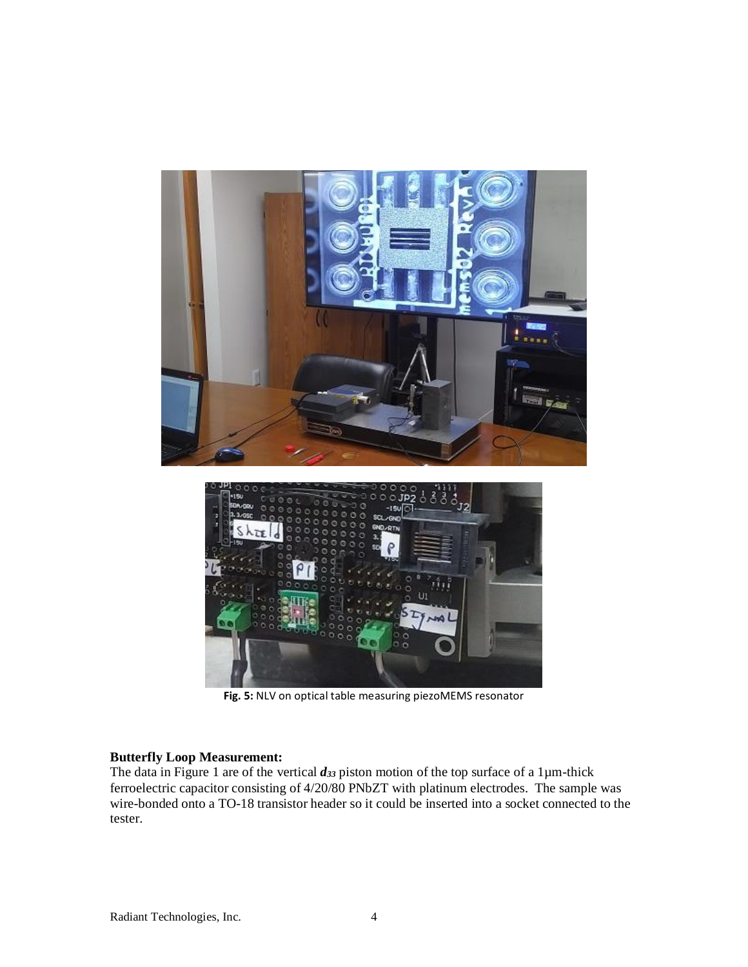

**Fig. 5:** NLV on optical table measuring piezoMEMS resonator

#### **Butterfly Loop Measurement:**

The data in Figure 1 are of the vertical *d<sup>33</sup>* piston motion of the top surface of a 1µm-thick ferroelectric capacitor consisting of 4/20/80 PNbZT with platinum electrodes. The sample was wire-bonded onto a TO-18 transistor header so it could be inserted into a socket connected to the tester.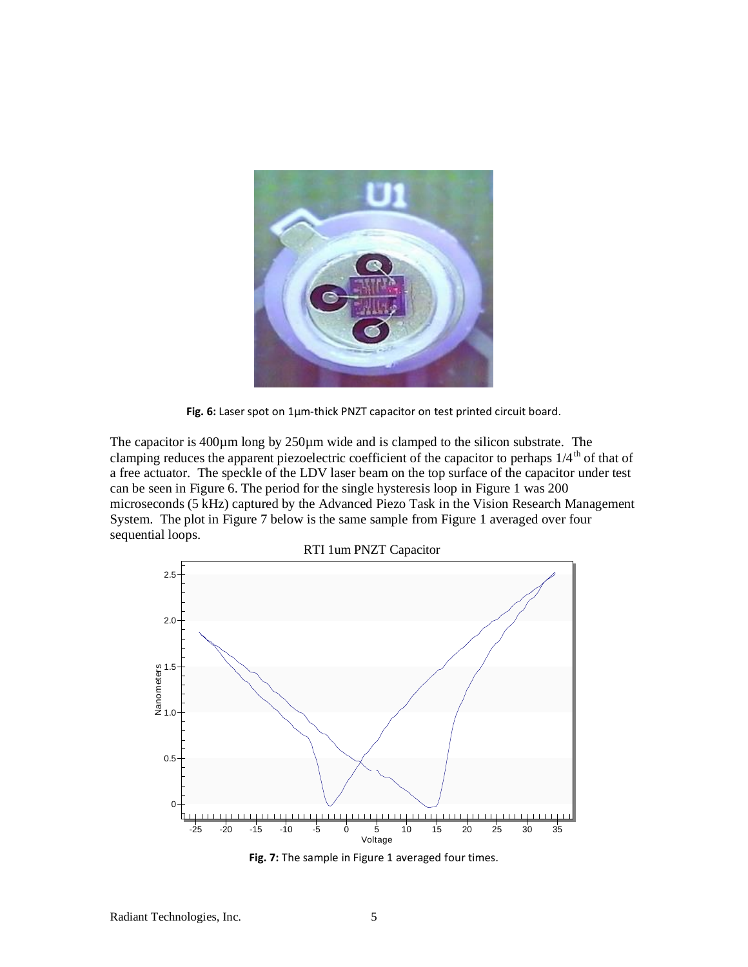

**Fig. 6:** Laser spot on 1µm-thick PNZT capacitor on test printed circuit board.

The capacitor is 400µm long by 250µm wide and is clamped to the silicon substrate. The clamping reduces the apparent piezoelectric coefficient of the capacitor to perhaps  $1/4^{th}$  of that of a free actuator. The speckle of the LDV laser beam on the top surface of the capacitor under test can be seen in Figure 6. The period for the single hysteresis loop in Figure 1 was 200 microseconds (5 kHz) captured by the Advanced Piezo Task in the Vision Research Management System. The plot in Figure 7 below is the same sample from Figure 1 averaged over four sequential loops.



**Fig. 7:** The sample in Figure 1 averaged four times.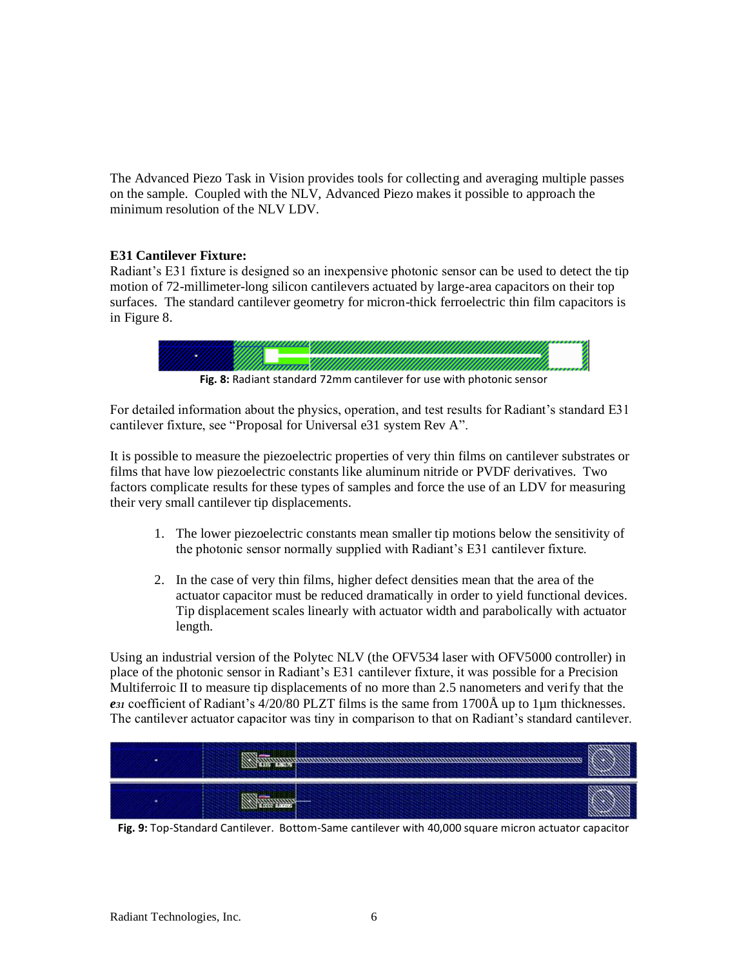The Advanced Piezo Task in Vision provides tools for collecting and averaging multiple passes on the sample. Coupled with the NLV, Advanced Piezo makes it possible to approach the minimum resolution of the NLV LDV.

## **E31 Cantilever Fixture:**

Radiant's E31 fixture is designed so an inexpensive photonic sensor can be used to detect the tip motion of 72-millimeter-long silicon cantilevers actuated by large-area capacitors on their top surfaces. The standard cantilever geometry for micron-thick ferroelectric thin film capacitors is in Figure 8.



For detailed information about the physics, operation, and test results for Radiant's standard E31

cantilever fixture, see "Proposal for Universal e31 system Rev A". It is possible to measure the piezoelectric properties of very thin films on cantilever substrates or

films that have low piezoelectric constants like aluminum nitride or PVDF derivatives. Two factors complicate results for these types of samples and force the use of an LDV for measuring their very small cantilever tip displacements.

- 1. The lower piezoelectric constants mean smaller tip motions below the sensitivity of the photonic sensor normally supplied with Radiant's E31 cantilever fixture.
- 2. In the case of very thin films, higher defect densities mean that the area of the actuator capacitor must be reduced dramatically in order to yield functional devices. Tip displacement scales linearly with actuator width and parabolically with actuator length.

Using an industrial version of the Polytec NLV (the OFV534 laser with OFV5000 controller) in place of the photonic sensor in Radiant's E31 cantilever fixture, it was possible for a Precision Multiferroic II to measure tip displacements of no more than 2.5 nanometers and verify that the *e<sup>31</sup>* coefficient of Radiant's 4/20/80 PLZT films is the same from 1700Å up to 1µm thicknesses. The cantilever actuator capacitor was tiny in comparison to that on Radiant's standard cantilever.



**Fig. 9:** Top-Standard Cantilever. Bottom-Same cantilever with 40,000 square micron actuator capacitor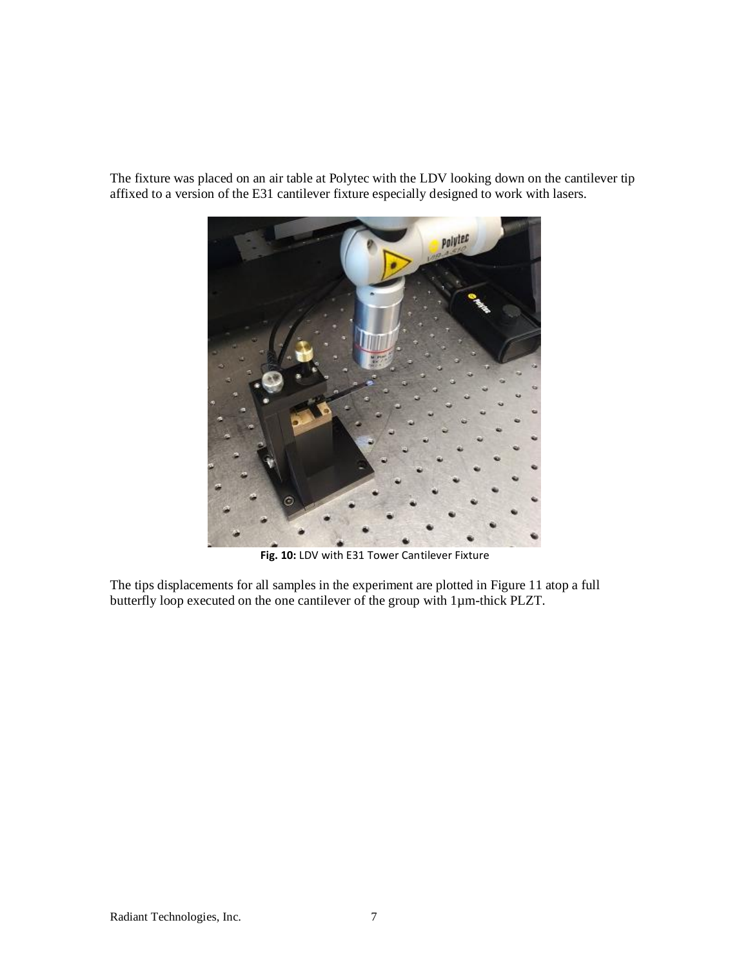The fixture was placed on an air table at Polytec with the LDV looking down on the cantilever tip affixed to a version of the E31 cantilever fixture especially designed to work with lasers.



**Fig. 10:** LDV with E31 Tower Cantilever Fixture

The tips displacements for all samples in the experiment are plotted in Figure 11 atop a full butterfly loop executed on the one cantilever of the group with 1µm-thick PLZT.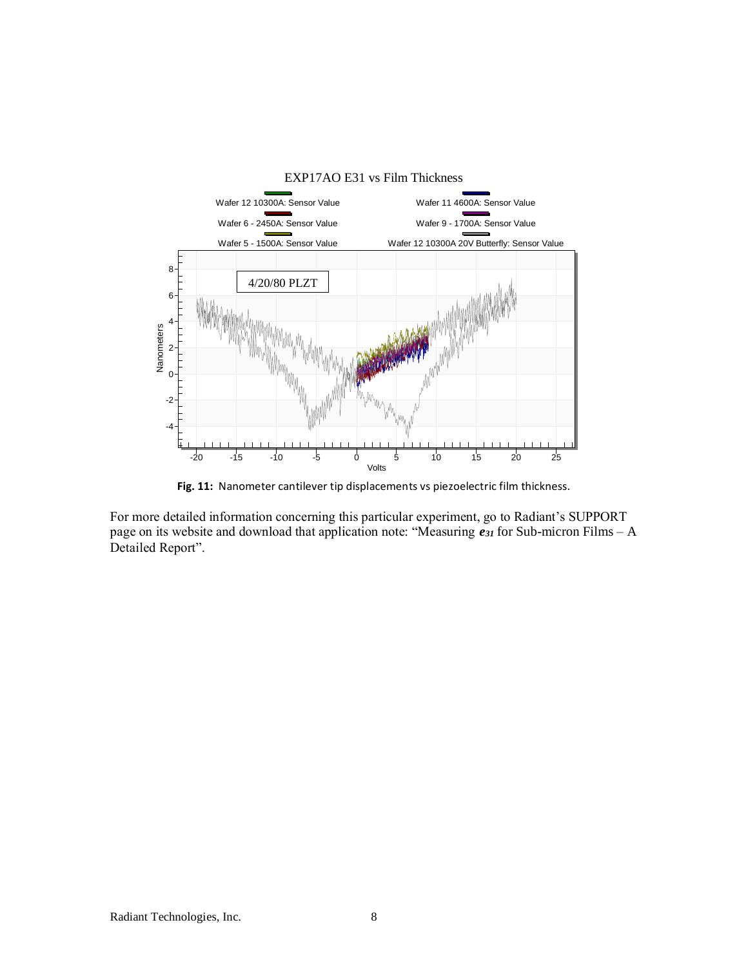

**Fig. 11:** Nanometer cantilever tip displacements vs piezoelectric film thickness.

For more detailed information concerning this particular experiment, go to Radiant's SUPPORT page on its website and download that application note: "Measuring *e<sup>31</sup>* for Sub-micron Films – A Detailed Report".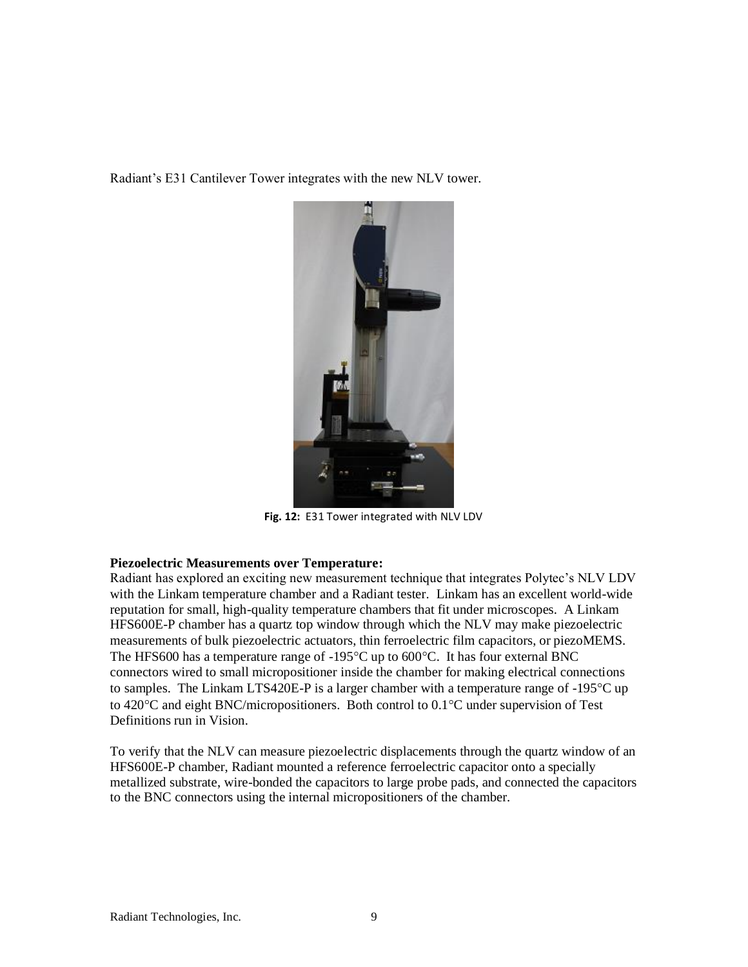Radiant's E31 Cantilever Tower integrates with the new NLV tower.



**Fig. 12:** E31 Tower integrated with NLV LDV

### **Piezoelectric Measurements over Temperature:**

Radiant has explored an exciting new measurement technique that integrates Polytec's NLV LDV with the Linkam temperature chamber and a Radiant tester. Linkam has an excellent world-wide reputation for small, high-quality temperature chambers that fit under microscopes. A Linkam HFS600E-P chamber has a quartz top window through which the NLV may make piezoelectric measurements of bulk piezoelectric actuators, thin ferroelectric film capacitors, or piezoMEMS. The HFS600 has a temperature range of  $-195^{\circ}$ C up to 600 $^{\circ}$ C. It has four external BNC connectors wired to small micropositioner inside the chamber for making electrical connections to samples. The Linkam LTS420E-P is a larger chamber with a temperature range of -195°C up to  $420^{\circ}$ C and eight BNC/micropositioners. Both control to  $0.1^{\circ}$ C under supervision of Test Definitions run in Vision.

To verify that the NLV can measure piezoelectric displacements through the quartz window of an HFS600E-P chamber, Radiant mounted a reference ferroelectric capacitor onto a specially metallized substrate, wire-bonded the capacitors to large probe pads, and connected the capacitors to the BNC connectors using the internal micropositioners of the chamber.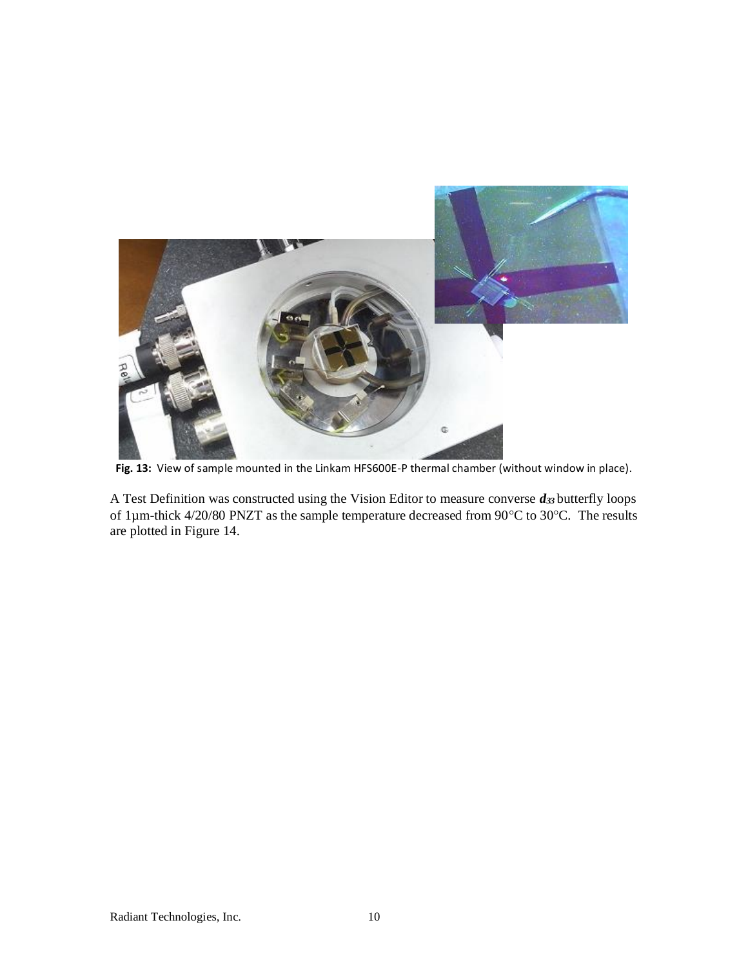

**Fig. 13:** View of sample mounted in the Linkam HFS600E-P thermal chamber (without window in place).

A Test Definition was constructed using the Vision Editor to measure converse *d<sup>33</sup>* butterfly loops of 1 $\mu$ m-thick 4/20/80 PNZT as the sample temperature decreased from 90°C to 30°C. The results are plotted in Figure 14.